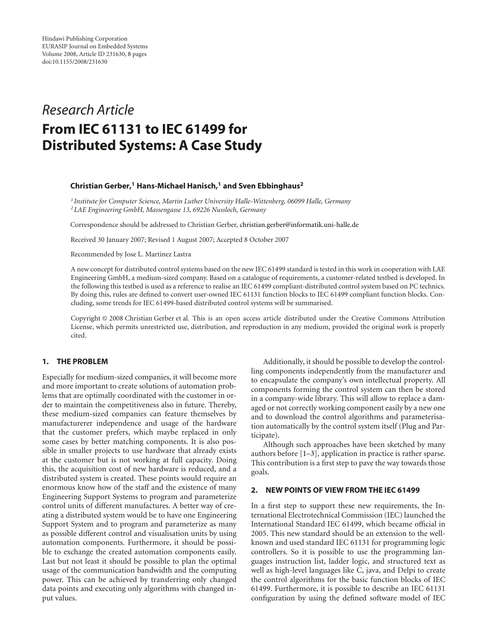# *Research Article* **From IEC 61131 to IEC 61499 for Distributed Systems: A Case Study**

## **Christian Gerber,1 Hans-Michael Hanisch,1 and Sven Ebbinghaus2**

*<sup>1</sup> Institute for Computer Science, Martin Luther University Halle-Wittenberg, 06099 Halle, Germany <sup>2</sup> LAE Engineering GmbH, Massengasse 13, 69226 Nussloch, Germany*

Correspondence should be addressed to Christian Gerber, christian.gerber@informatik.uni-halle.de

Received 30 January 2007; Revised 1 August 2007; Accepted 8 October 2007

Recommended by Jose L. Martinez Lastra

A new concept for distributed control systems based on the new IEC 61499 standard is tested in this work in cooperation with LAE Engineering GmbH, a medium-sized company. Based on a catalogue of requirements, a customer-related testbed is developed. In the following this testbed is used as a reference to realise an IEC 61499 compliant-distributed control system based on PC technics. By doing this, rules are defined to convert user-owned IEC 61131 function blocks to IEC 61499 compliant function blocks. Concluding, some trends for IEC 61499-based distributed control systems will be summarised.

Copyright © 2008 Christian Gerber et al. This is an open access article distributed under the Creative Commons Attribution License, which permits unrestricted use, distribution, and reproduction in any medium, provided the original work is properly cited.

# **1. THE PROBLEM**

Especially for medium-sized companies, it will become more and more important to create solutions of automation problems that are optimally coordinated with the customer in order to maintain the competitiveness also in future. Thereby, these medium-sized companies can feature themselves by manufacturerer independence and usage of the hardware that the customer prefers, which maybe replaced in only some cases by better matching components. It is also possible in smaller projects to use hardware that already exists at the customer but is not working at full capacity. Doing this, the acquisition cost of new hardware is reduced, and a distributed system is created. These points would require an enormous know how of the staff and the existence of many Engineering Support Systems to program and parameterize control units of different manufactures. A better way of creating a distributed system would be to have one Engineering Support System and to program and parameterize as many as possible different control and visualisation units by using automation components. Furthermore, it should be possible to exchange the created automation components easily. Last but not least it should be possible to plan the optimal usage of the communication bandwidth and the computing power. This can be achieved by transferring only changed data points and executing only algorithms with changed input values.

Additionally, it should be possible to develop the controlling components independently from the manufacturer and to encapsulate the company's own intellectual property. All components forming the control system can then be stored in a company-wide library. This will allow to replace a damaged or not correctly working component easily by a new one and to download the control algorithms and parameterisation automatically by the control system itself (Plug and Participate).

Although such approaches have been sketched by many authors before [1–3], application in practice is rather sparse. This contribution is a first step to pave the way towards those goals.

## **2. NEW POINTS OF VIEW FROM THE IEC 61499**

In a first step to support these new requirements, the International Electrotechnical Commission (IEC) launched the International Standard IEC 61499, which became official in 2005. This new standard should be an extension to the wellknown and used standard IEC 61131 for programming logic controllers. So it is possible to use the programming languages instruction list, ladder logic, and structured text as well as high-level languages like C, java, and Delpi to create the control algorithms for the basic function blocks of IEC 61499. Furthermore, it is possible to describe an IEC 61131 configuration by using the defined software model of IEC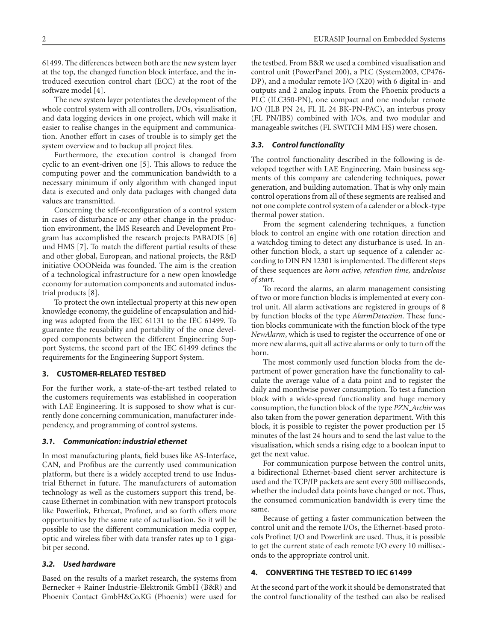61499. The differences between both are the new system layer at the top, the changed function block interface, and the introduced execution control chart (ECC) at the root of the software model [4].

The new system layer potentiates the development of the whole control system with all controllers, I/Os, visualisation, and data logging devices in one project, which will make it easier to realise changes in the equipment and communication. Another effort in cases of trouble is to simply get the system overview and to backup all project files.

Furthermore, the execution control is changed from cyclic to an event-driven one [5]. This allows to reduce the computing power and the communication bandwidth to a necessary minimum if only algorithm with changed input data is executed and only data packages with changed data values are transmitted.

Concerning the self-reconfiguration of a control system in cases of disturbance or any other change in the production environment, the IMS Research and Development Program has accomplished the research projects PABADIS [6] und HMS [7]. To match the different partial results of these and other global, European, and national projects, the R&D initiative OOONeida was founded. The aim is the creation of a technological infrastructure for a new open knowledge economy for automation components and automated industrial products [8].

To protect the own intellectual property at this new open knowledge economy, the guideline of encapsulation and hiding was adopted from the IEC 61131 to the IEC 61499. To guarantee the reusability and portability of the once developed components between the different Engineering Support Systems, the second part of the IEC 61499 defines the requirements for the Engineering Support System.

# **3. CUSTOMER-RELATED TESTBED**

For the further work, a state-of-the-art testbed related to the customers requirements was established in cooperation with LAE Engineering. It is supposed to show what is currently done concerning communication, manufacturer independency, and programming of control systems.

## *3.1. Communication: industrial ethernet*

In most manufacturing plants, field buses like AS-Interface, CAN, and Profibus are the currently used communication platform, but there is a widely accepted trend to use Industrial Ethernet in future. The manufacturers of automation technology as well as the customers support this trend, because Ethernet in combination with new transport protocols like Powerlink, Ethercat, Profinet, and so forth offers more opportunities by the same rate of actualisation. So it will be possible to use the different communication media copper, optic and wireless fiber with data transfer rates up to 1 gigabit per second.

## *3.2. Used hardware*

Based on the results of a market research, the systems from Bernecker + Rainer Industrie-Elektronik GmbH (B&R) and Phoenix Contact GmbH&Co.KG (Phoenix) were used for the testbed. From B&R we used a combined visualisation and control unit (PowerPanel 200), a PLC (System2003, CP476- DP), and a modular remote I/O (X20) with 6 digital in- and outputs and 2 analog inputs. From the Phoenix products a PLC (ILC350-PN), one compact and one modular remote I/O (ILB PN 24, FL IL 24 BK-PN-PAC), an interbus proxy (FL PN/IBS) combined with I/Os, and two modular and manageable switches (FL SWITCH MM HS) were chosen.

### *3.3. Control functionality*

The control functionality described in the following is developed together with LAE Engineering. Main business segments of this company are calendering techniques, power generation, and building automation. That is why only main control operations from all of these segments are realised and not one complete control system of a calender or a block-type thermal power station.

From the segment calendering techniques, a function block to control an engine with one rotation direction and a watchdog timing to detect any disturbance is used. In another function block, a start up sequence of a calender according to DIN EN 12301 is implemented. The different steps of these sequences are *horn active*, *retention time,* and*release of start*.

To record the alarms, an alarm management consisting of two or more function blocks is implemented at every control unit. All alarm activations are registered in groups of 8 by function blocks of the type *AlarmDetection*. These function blocks communicate with the function block of the type *NewAlarm*, which is used to register the occurrence of one or more new alarms, quit all active alarms or only to turn off the horn.

The most commonly used function blocks from the department of power generation have the functionality to calculate the average value of a data point and to register the daily and monthwise power consumption. To test a function block with a wide-spread functionality and huge memory consumption, the function block of the type *PZN Archiv* was also taken from the power generation department. With this block, it is possible to register the power production per 15 minutes of the last 24 hours and to send the last value to the visualisation, which sends a rising edge to a boolean input to get the next value.

For communication purpose between the control units, a bidirectional Ethernet-based client server architecture is used and the TCP/IP packets are sent every 500 milliseconds, whether the included data points have changed or not. Thus, the consumed communication bandwidth is every time the same.

Because of getting a faster communication between the control unit and the remote I/Os, the Ethernet-based protocols Profinet I/O and Powerlink are used. Thus, it is possible to get the current state of each remote I/O every 10 milliseconds to the appropriate control unit.

## **4. CONVERTING THE TESTBED TO IEC 61499**

At the second part of the work it should be demonstrated that the control functionality of the testbed can also be realised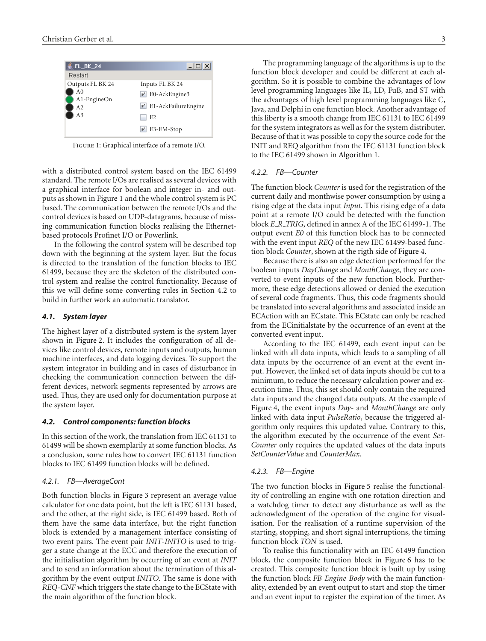

Figure 1: Graphical interface of a remote I/O.

with a distributed control system based on the IEC 61499 standard. The remote I/Os are realised as several devices with a graphical interface for boolean and integer in- and outputs as shown in Figure 1 and the whole control system is PC based. The communication between the remote I/Os and the control devices is based on UDP-datagrams, because of missing communication function blocks realising the Ethernetbased protocols Profinet I/O or Powerlink.

In the following the control system will be described top down with the beginning at the system layer. But the focus is directed to the translation of the function blocks to IEC 61499, because they are the skeleton of the distributed control system and realise the control functionality. Because of this we will define some converting rules in Section 4.2 to build in further work an automatic translator.

## *4.1. System layer*

The highest layer of a distributed system is the system layer shown in Figure 2. It includes the configuration of all devices like control devices, remote inputs and outputs, human machine interfaces, and data logging devices. To support the system integrator in building and in cases of disturbance in checking the communication connection between the different devices, network segments represented by arrows are used. Thus, they are used only for documentation purpose at the system layer.

## *4.2. Control components: function blocks*

In this section of the work, the translation from IEC 61131 to 61499 will be shown exemplarily at some function blocks. As a conclusion, some rules how to convert IEC 61131 function blocks to IEC 61499 function blocks will be defined.

#### *4.2.1. FB—AverageCont*

Both function blocks in Figure 3 represent an average value calculator for one data point, but the left is IEC 61131 based, and the other, at the right side, is IEC 61499 based. Both of them have the same data interface, but the right function block is extended by a management interface consisting of two event pairs. The event pair *INIT-INITO* is used to trigger a state change at the ECC and therefore the execution of the initialisation algorithm by occurring of an event at *INIT* and to send an information about the termination of this algorithm by the event output *INITO*. The same is done with *REQ-CNF* which triggers the state change to the ECState with the main algorithm of the function block.

The programming language of the algorithms is up to the function block developer and could be different at each algorithm. So it is possible to combine the advantages of low level programming languages like IL, LD, FuB, and ST with the advantages of high level programming languages like C, Java, and Delphi in one function block. Another advantage of this liberty is a smooth change from IEC 61131 to IEC 61499 for the system integrators as well as for the system distributer. Because of that it was possible to copy the source code for the INIT and REQ algorithm from the IEC 61131 function block to the IEC 61499 shown in Algorithm 1.

## *4.2.2. FB—Counter*

The function block *Counter* is used for the registration of the current daily and monthwise power consumption by using a rising edge at the data input *Input*. This rising edge of a data point at a remote I/O could be detected with the function block *E R TRIG*, defined in annex A of the IEC 61499-1. The output event *E0* of this function block has to be connected with the event input *REQ* of the new IEC 61499-based function block *Counter*, shown at the rigth side of Figure 4.

Because there is also an edge detection performed for the boolean inputs *DayChange* and *MonthChange*, they are converted to event inputs of the new function block. Furthermore, these edge detections allowed or denied the execution of several code fragments. Thus, this code fragments should be translated into several algorithms and associated inside an ECAction with an ECstate. This ECstate can only be reached from the ECinitialstate by the occurrence of an event at the converted event input.

According to the IEC 61499, each event input can be linked with all data inputs, which leads to a sampling of all data inputs by the occurrence of an event at the event input. However, the linked set of data inputs should be cut to a minimum, to reduce the necessary calculation power and execution time. Thus, this set should only contain the required data inputs and the changed data outputs. At the example of Figure 4, the event inputs *Day-* and *MonthChange* are only linked with data input *PulseRatio*, because the triggered algorithm only requires this updated value. Contrary to this, the algorithm executed by the occurrence of the event *Set-Counter* only requires the updated values of the data inputs *SetCounterValue* and *CounterMax*.

#### *4.2.3. FB—Engine*

The two function blocks in Figure 5 realise the functionality of controlling an engine with one rotation direction and a watchdog timer to detect any disturbance as well as the acknowledgment of the operation of the engine for visualisation. For the realisation of a runtime supervision of the starting, stopping, and short signal interruptions, the timing function block *TON* is used.

To realise this functionality with an IEC 61499 function block, the composite function block in Figure 6 has to be created. This composite function block is built up by using the function block *FB Engine Body* with the main functionality, extended by an event output to start and stop the timer and an event input to register the expiration of the timer. As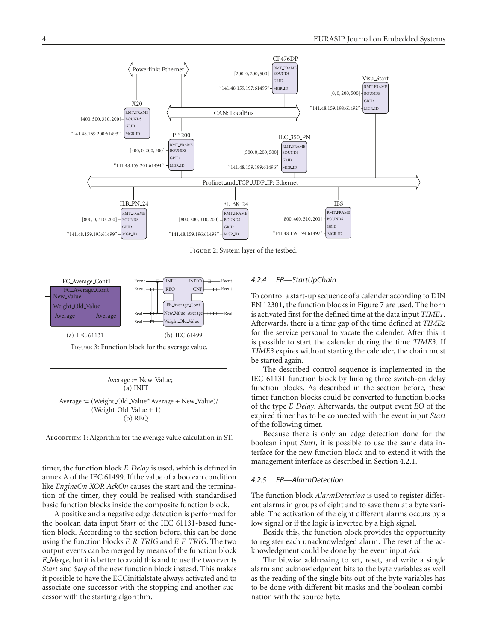

Figure 2: System layer of the testbed.





Algorithm 1: Algorithm for the average value calculation in ST.

timer, the function block *E Delay* is used, which is defined in annex A of the IEC 61499. If the value of a boolean condition like *EngineOn XOR AckOn* causes the start and the termination of the timer, they could be realised with standardised basic function blocks inside the composite function block.

A positive and a negative edge detection is performed for the boolean data input *Start* of the IEC 61131-based function block. According to the section before, this can be done using the function blocks *E R TRIG* and *E F TRIG*. The two output events can be merged by means of the function block *E Merge*, but it is better to avoid this and to use the two events *Start* and *Stop* of the new function block instead. This makes it possible to have the ECCinitialstate always activated and to associate one successor with the stopping and another successor with the starting algorithm.

## *4.2.4. FB—StartUpChain*

To control a start-up sequence of a calender according to DIN EN 12301, the function blocks in Figure 7 are used. The horn is activated first for the defined time at the data input *TIME1*. Afterwards, there is a time gap of the time defined at *TIME2* for the service personal to vacate the calender. After this it is possible to start the calender during the time *TIME3*. If *TIME3* expires without starting the calender, the chain must be started again.

The described control sequence is implemented in the IEC 61131 function block by linking three switch-on delay function blocks. As described in the section before, these timer function blocks could be converted to function blocks of the type *E Delay*. Afterwards, the output event *EO* of the expired timer has to be connected with the event input *Start* of the following timer.

Because there is only an edge detection done for the boolean input *Start*, it is possible to use the same data interface for the new function block and to extend it with the management interface as described in Section 4.2.1.

### *4.2.5. FB—AlarmDetection*

The function block *AlarmDetection* is used to register different alarms in groups of eight and to save them at a byte variable. The activation of the eight different alarms occurs by a low signal or if the logic is inverted by a high signal.

Beside this, the function block provides the opportunity to register each unacknowledged alarm. The reset of the acknowledgment could be done by the event input *Ack*.

The bitwise addressing to set, reset, and write a single alarm and acknowledgment bits to the byte variables as well as the reading of the single bits out of the byte variables has to be done with different bit masks and the boolean combination with the source byte.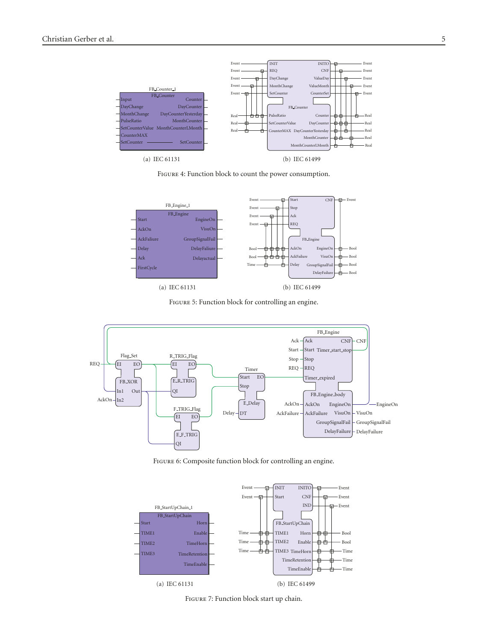

Figure 4: Function block to count the power consumption.



Figure 5: Function block for controlling an engine.



Figure 6: Composite function block for controlling an engine.



Figure 7: Function block start up chain.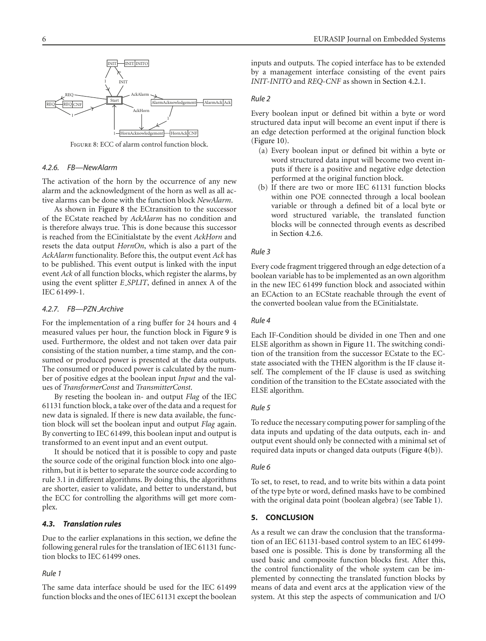

Figure 8: ECC of alarm control function block.

## *4.2.6. FB—NewAlarm*

The activation of the horn by the occurrence of any new alarm and the acknowledgment of the horn as well as all active alarms can be done with the function block *NewAlarm*.

As shown in Figure 8 the ECtransition to the successor of the ECstate reached by *AckAlarm* has no condition and is therefore always true. This is done because this successor is reached from the ECinitialstate by the event *AckHorn* and resets the data output *HornOn*, which is also a part of the *AckAlarm* functionality. Before this, the output event *Ack* has to be published. This event output is linked with the input event *Ack* of all function blocks, which register the alarms, by using the event splitter *E SPLIT*, defined in annex A of the IEC 61499-1.

## *4.2.7. FB—PZN Archive*

For the implementation of a ring buffer for 24 hours and 4 measured values per hour, the function block in Figure 9 is used. Furthermore, the oldest and not taken over data pair consisting of the station number, a time stamp, and the consumed or produced power is presented at the data outputs. The consumed or produced power is calculated by the number of positive edges at the boolean input *Input* and the values of *TransformerConst* and *TransmitterConst*.

By reseting the boolean in- and output *Flag* of the IEC 61131 function block, a take over of the data and a request for new data is signaled. If there is new data available, the function block will set the boolean input and output *Flag* again. By converting to IEC 61499, this boolean input and output is transformed to an event input and an event output.

It should be noticed that it is possible to copy and paste the source code of the original function block into one algorithm, but it is better to separate the source code according to rule 3.1 in different algorithms. By doing this, the algorithms are shorter, easier to validate, and better to understand, but the ECC for controlling the algorithms will get more complex.

## *4.3. Translation rules*

Due to the earlier explanations in this section, we define the following general rules for the translation of IEC 61131 function blocks to IEC 61499 ones.

# *Rule 1*

The same data interface should be used for the IEC 61499 function blocks and the ones of IEC 61131 except the boolean inputs and outputs. The copied interface has to be extended by a management interface consisting of the event pairs *INIT-INITO* and *REQ-CNF* as shown in Section 4.2.1.

## *Rule 2*

Every boolean input or defined bit within a byte or word structured data input will become an event input if there is an edge detection performed at the original function block (Figure 10).

- (a) Every boolean input or defined bit within a byte or word structured data input will become two event inputs if there is a positive and negative edge detection performed at the original function block.
- (b) If there are two or more IEC 61131 function blocks within one POE connected through a local boolean variable or through a defined bit of a local byte or word structured variable, the translated function blocks will be connected through events as described in Section 4.2.6.

#### *Rule 3*

Every code fragment triggered through an edge detection of a boolean variable has to be implemented as an own algorithm in the new IEC 61499 function block and associated within an ECAction to an ECState reachable through the event of the converted boolean value from the ECinitialstate.

## *Rule 4*

Each IF-Condition should be divided in one Then and one ELSE algorithm as shown in Figure 11. The switching condition of the transition from the successor ECstate to the ECstate associated with the THEN algorithm is the IF clause itself. The complement of the IF clause is used as switching condition of the transition to the ECstate associated with the ELSE algorithm.

#### *Rule 5*

To reduce the necessary computing power for sampling of the data inputs and updating of the data outputs, each in- and output event should only be connected with a minimal set of required data inputs or changed data outputs (Figure 4(b)).

#### *Rule 6*

To set, to reset, to read, and to write bits within a data point of the type byte or word, defined masks have to be combined with the original data point (boolean algebra) (see Table 1).

## **5. CONCLUSION**

As a result we can draw the conclusion that the transformation of an IEC 61131-based control system to an IEC 61499 based one is possible. This is done by transforming all the used basic and composite function blocks first. After this, the control functionality of the whole system can be implemented by connecting the translated function blocks by means of data and event arcs at the application view of the system. At this step the aspects of communication and I/O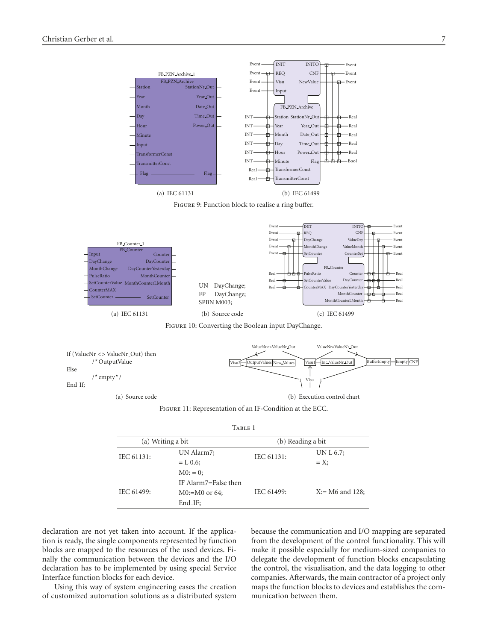





Figure 10: Converting the Boolean input DayChange.



Figure 11: Representation of an IF-Condition at the ECC.

| (a) Writing a bit |                      | (b) Reading a bit |                   |
|-------------------|----------------------|-------------------|-------------------|
| IEC 61131:        | UN Alarm7;           | IEC 61131:        | UN L 6.7;         |
|                   | $= L 0.6;$           |                   | $=X$              |
|                   | $M0: = 0;$           |                   |                   |
|                   | IF Alarm7=False then |                   |                   |
| IEC 61499:        | $M0:=M0$ or 64;      | IEC 61499:        | $X = M6$ and 128; |
|                   | $End_I$ :            |                   |                   |

declaration are not yet taken into account. If the application is ready, the single components represented by function blocks are mapped to the resources of the used devices. Finally the communication between the devices and the I/O declaration has to be implemented by using special Service Interface function blocks for each device.

Using this way of system engineering eases the creation of customized automation solutions as a distributed system because the communication and I/O mapping are separated from the development of the control functionality. This will make it possible especially for medium-sized companies to delegate the development of function blocks encapsulating the control, the visualisation, and the data logging to other companies. Afterwards, the main contractor of a project only maps the function blocks to devices and establishes the communication between them.